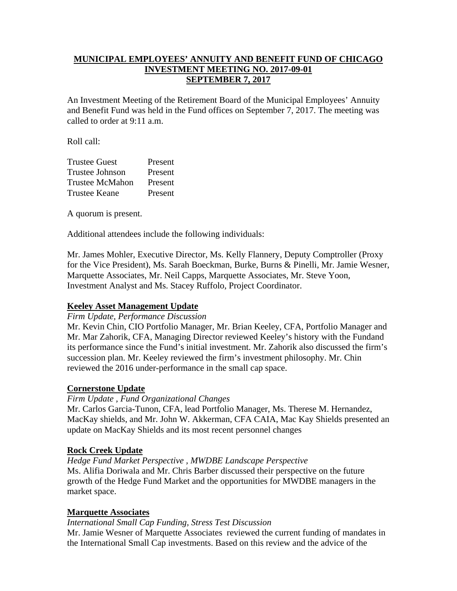# **MUNICIPAL EMPLOYEES' ANNUITY AND BENEFIT FUND OF CHICAGO INVESTMENT MEETING NO. 2017-09-01 SEPTEMBER 7, 2017**

An Investment Meeting of the Retirement Board of the Municipal Employees' Annuity and Benefit Fund was held in the Fund offices on September 7, 2017. The meeting was called to order at 9:11 a.m.

Roll call:

| <b>Trustee Guest</b>   | Present |
|------------------------|---------|
| Trustee Johnson        | Present |
| <b>Trustee McMahon</b> | Present |
| Trustee Keane          | Present |

A quorum is present.

Additional attendees include the following individuals:

Mr. James Mohler, Executive Director, Ms. Kelly Flannery, Deputy Comptroller (Proxy for the Vice President), Ms. Sarah Boeckman, Burke, Burns & Pinelli, Mr. Jamie Wesner, Marquette Associates, Mr. Neil Capps, Marquette Associates, Mr. Steve Yoon, Investment Analyst and Ms. Stacey Ruffolo, Project Coordinator.

# **Keeley Asset Management Update**

*Firm Update, Performance Discussion* 

Mr. Kevin Chin, CIO Portfolio Manager, Mr. Brian Keeley, CFA, Portfolio Manager and Mr. Mar Zahorik, CFA, Managing Director reviewed Keeley's history with the Fundand its performance since the Fund's initial investment. Mr. Zahorik also discussed the firm's succession plan. Mr. Keeley reviewed the firm's investment philosophy. Mr. Chin reviewed the 2016 under-performance in the small cap space.

# **Cornerstone Update**

### *Firm Update , Fund Organizational Changes*

Mr. Carlos Garcia-Tunon, CFA, lead Portfolio Manager, Ms. Therese M. Hernandez, MacKay shields, and Mr. John W. Akkerman, CFA CAIA, Mac Kay Shields presented an update on MacKay Shields and its most recent personnel changes

### **Rock Creek Update**

### *Hedge Fund Market Perspective , MWDBE Landscape Perspective*

Ms. Alifia Doriwala and Mr. Chris Barber discussed their perspective on the future growth of the Hedge Fund Market and the opportunities for MWDBE managers in the market space.

### **Marquette Associates**

### *International Small Cap Funding, Stress Test Discussion*

Mr. Jamie Wesner of Marquette Associates reviewed the current funding of mandates in the International Small Cap investments. Based on this review and the advice of the